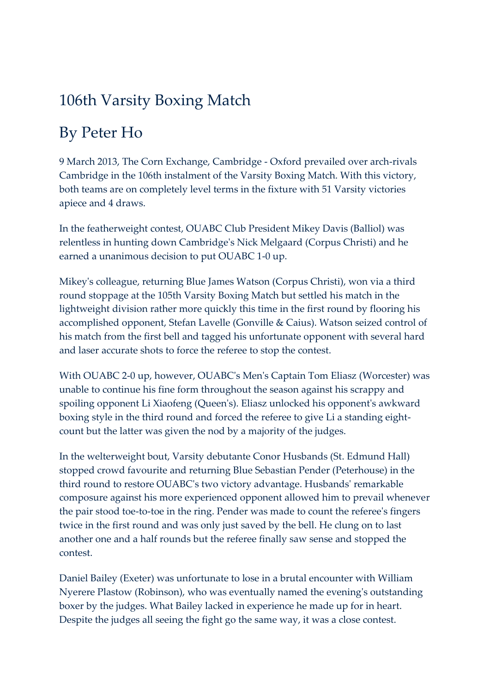## 106th Varsity Boxing Match

## By Peter Ho

9 March 2013, The Corn Exchange, Cambridge - Oxford prevailed over arch-rivals Cambridge in the 106th instalment of the Varsity Boxing Match. With this victory, both teams are on completely level terms in the fixture with 51 Varsity victories apiece and 4 draws.

In the featherweight contest, OUABC Club President Mikey Davis (Balliol) was relentless in hunting down Cambridge's Nick Melgaard (Corpus Christi) and he earned a unanimous decision to put OUABC 1-0 up.

Mikey's colleague, returning Blue James Watson (Corpus Christi), won via a third round stoppage at the 105th Varsity Boxing Match but settled his match in the lightweight division rather more quickly this time in the first round by flooring his accomplished opponent, Stefan Lavelle (Gonville & Caius). Watson seized control of his match from the first bell and tagged his unfortunate opponent with several hard and laser accurate shots to force the referee to stop the contest.

With OUABC 2-0 up, however, OUABC's Men's Captain Tom Eliasz (Worcester) was unable to continue his fine form throughout the season against his scrappy and spoiling opponent Li Xiaofeng (Queen's). Eliasz unlocked his opponent's awkward boxing style in the third round and forced the referee to give Li a standing eightcount but the latter was given the nod by a majority of the judges.

In the welterweight bout, Varsity debutante Conor Husbands (St. Edmund Hall) stopped crowd favourite and returning Blue Sebastian Pender (Peterhouse) in the third round to restore OUABC's two victory advantage. Husbands' remarkable composure against his more experienced opponent allowed him to prevail whenever the pair stood toe-to-toe in the ring. Pender was made to count the referee's fingers twice in the first round and was only just saved by the bell. He clung on to last another one and a half rounds but the referee finally saw sense and stopped the contest.

Daniel Bailey (Exeter) was unfortunate to lose in a brutal encounter with William Nyerere Plastow (Robinson), who was eventually named the evening's outstanding boxer by the judges. What Bailey lacked in experience he made up for in heart. Despite the judges all seeing the fight go the same way, it was a close contest.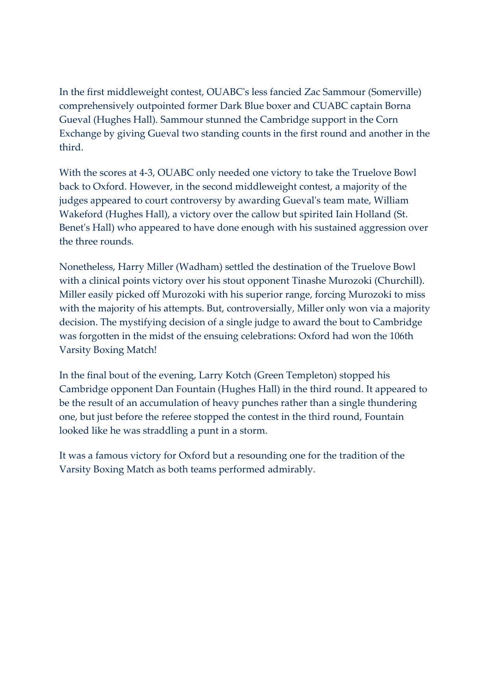In the first middleweight contest, OUABC's less fancied Zac Sammour (Somerville) comprehensively outpointed former Dark Blue boxer and CUABC captain Borna Gueval (Hughes Hall). Sammour stunned the Cambridge support in the Corn Exchange by giving Gueval two standing counts in the first round and another in the third.

With the scores at 4-3, OUABC only needed one victory to take the Truelove Bowl back to Oxford. However, in the second middleweight contest, a majority of the judges appeared to court controversy by awarding Gueval's team mate, William Wakeford (Hughes Hall), a victory over the callow but spirited Iain Holland (St. Benet's Hall) who appeared to have done enough with his sustained aggression over the three rounds.

Nonetheless, Harry Miller (Wadham) settled the destination of the Truelove Bowl with a clinical points victory over his stout opponent Tinashe Murozoki (Churchill). Miller easily picked off Murozoki with his superior range, forcing Murozoki to miss with the majority of his attempts. But, controversially, Miller only won via a majority decision. The mystifying decision of a single judge to award the bout to Cambridge was forgotten in the midst of the ensuing celebrations: Oxford had won the 106th Varsity Boxing Match!

In the final bout of the evening, Larry Kotch (Green Templeton) stopped his Cambridge opponent Dan Fountain (Hughes Hall) in the third round. It appeared to be the result of an accumulation of heavy punches rather than a single thundering one, but just before the referee stopped the contest in the third round, Fountain looked like he was straddling a punt in a storm.

It was a famous victory for Oxford but a resounding one for the tradition of the Varsity Boxing Match as both teams performed admirably.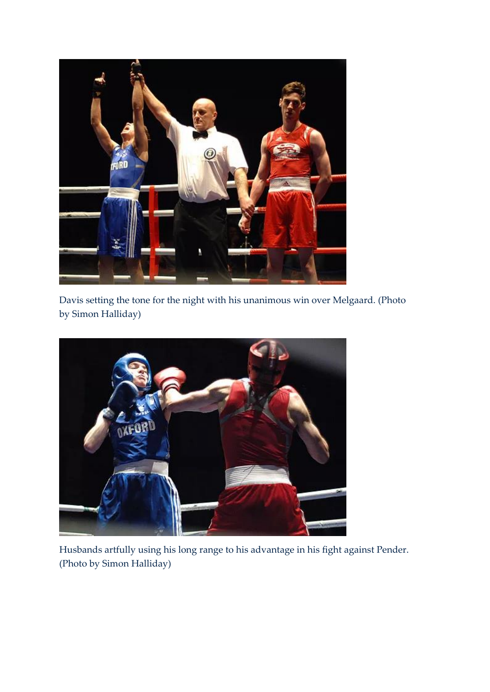

Davis setting the tone for the night with his unanimous win over Melgaard. (Photo by Simon Halliday)



Husbands artfully using his long range to his advantage in his fight against Pender. (Photo by Simon Halliday)